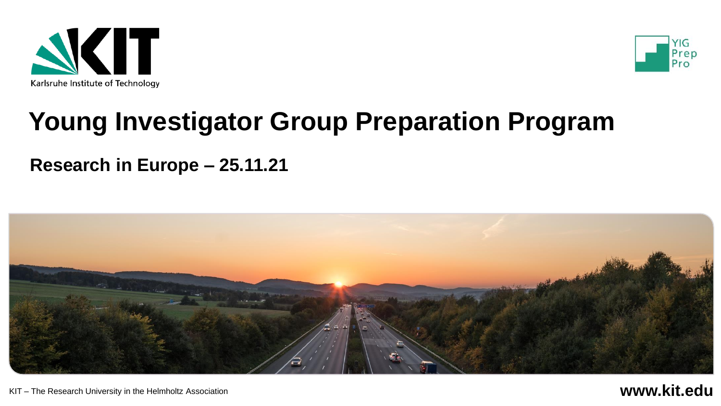



## **Young Investigator Group Preparation Program**

#### **Research in Europe – 25.11.21**

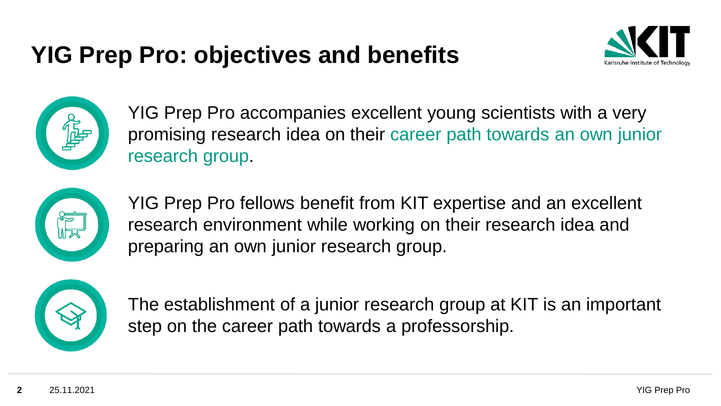## **YIG Prep Pro: objectives and benefits**





YIG Prep Pro accompanies excellent young scientists with a very promising research idea on their career path towards an own junior research group.



YIG Prep Pro fellows benefit from KIT expertise and an excellent research environment while working on their research idea and preparing an own junior research group.



The establishment of a junior research group at KIT is an important step on the career path towards a professorship.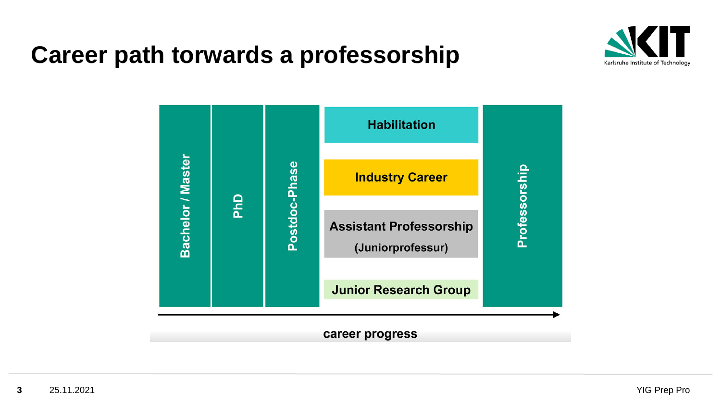## **Career path torwards a professorship**



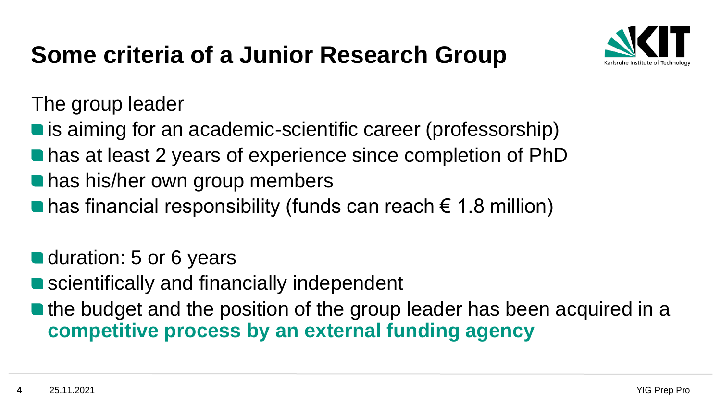## **Some criteria of a Junior Research Group**



The group leader

**lack** is aiming for an academic-scientific career (professorship)

- has at least 2 years of experience since completion of PhD
- **has his/her own group members**
- has financial responsibility (funds can reach  $\epsilon$  1.8 million)

■ duration: 5 or 6 years

■ scientifically and financially independent

**The budget and the position of the group leader has been acquired in a competitive process by an external funding agency**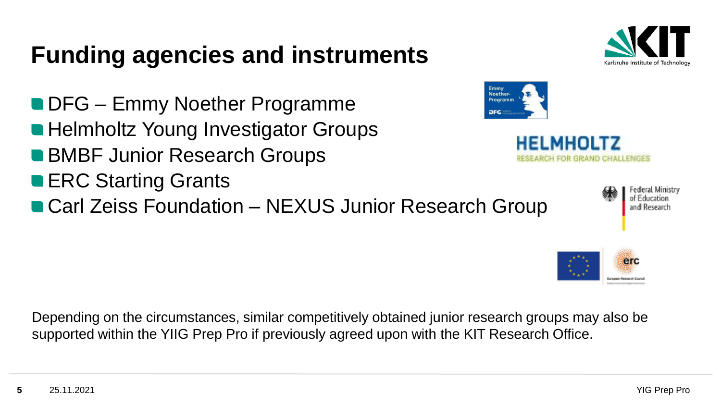## **Funding agencies and instruments**

**DFG** – Emmy Noether Programme ■ Helmholtz Young Investigator Groups ■ BMBF Junior Research Groups **ERC Starting Grants** 

■ Carl Zeiss Foundation – NEXUS Junior Research Group

Depending on the circumstances, similar competitively obtained junior research groups may also be supported within the YIIG Prep Pro if previously agreed upon with the KIT Research Office.







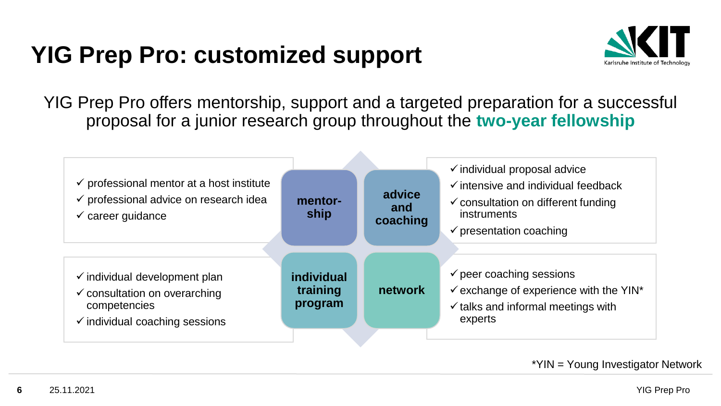## **YIG Prep Pro: customized support**



YIG Prep Pro offers mentorship, support and a targeted preparation for a successful proposal for a junior research group throughout the **two-year fellowship**



\*YIN = Young Investigator Network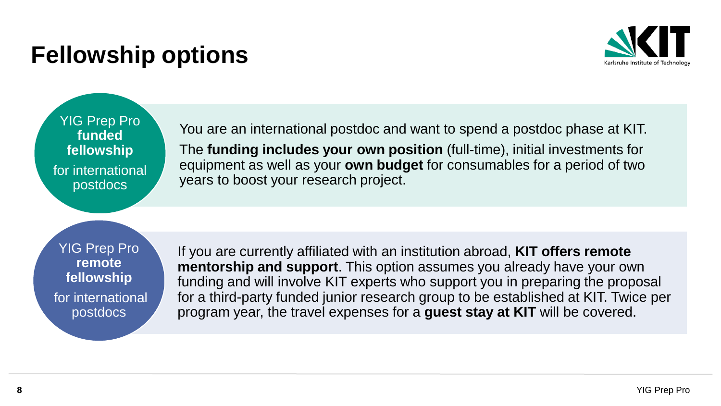## **Fellowship options**



YIG Prep Pro **funded fellowship**  for international postdocs

You are an international postdoc and want to spend a postdoc phase at KIT. The **funding includes your own position** (full-time), initial investments for equipment as well as your **own budget** for consumables for a period of two years to boost your research project.

YIG Prep Pro **remote fellowship** for international postdocs

If you are currently affiliated with an institution abroad, **KIT offers remote mentorship and support**. This option assumes you already have your own funding and will involve KIT experts who support you in preparing the proposal for a third-party funded junior research group to be established at KIT. Twice per program year, the travel expenses for a **guest stay at KIT** will be covered.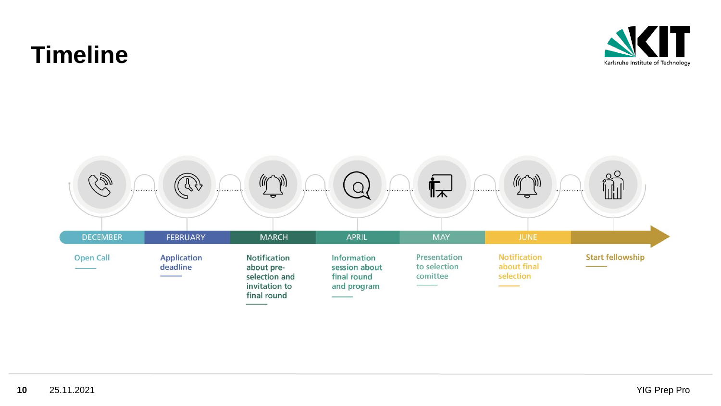#### П Karlsruhe Institute of Technology

## **Timeline**

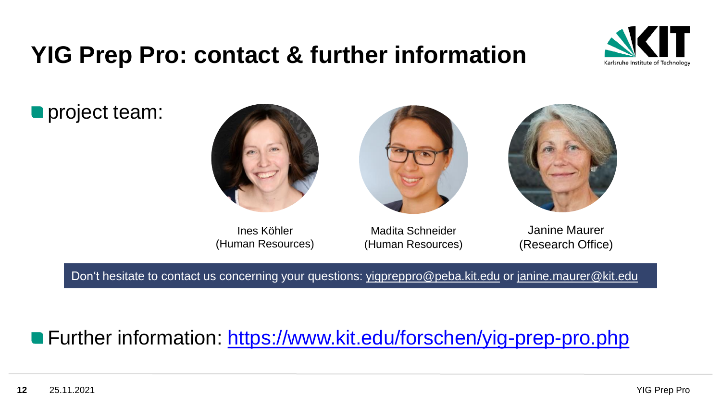### **YIG Prep Pro: contact & further information**



**project team:** 



Ines Köhler (Human Resources)

Madita Schneider (Human Resources)

Janine Maurer (Research Office)

Don't hesitate to contact us concerning your questions: [yigpreppro@peba.kit.edu](mailto:yigprepro@peba.kit.edu) or [janine.maurer@kit.edu](mailto:janine.maurer@kit.edu)

#### ■ Further information:<https://www.kit.edu/forschen/yig-prep-pro.php>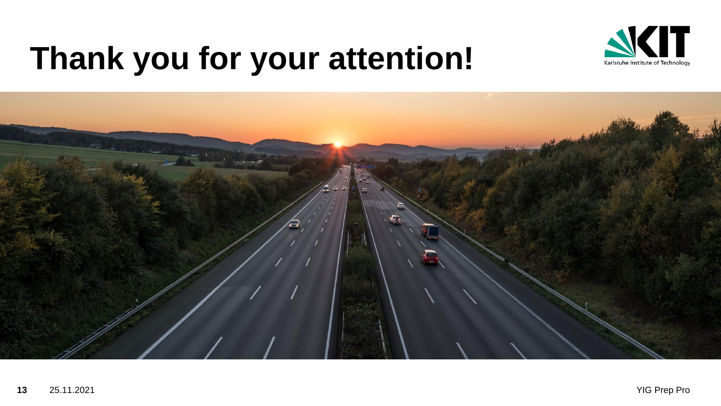

# **Thank you for your attention!**

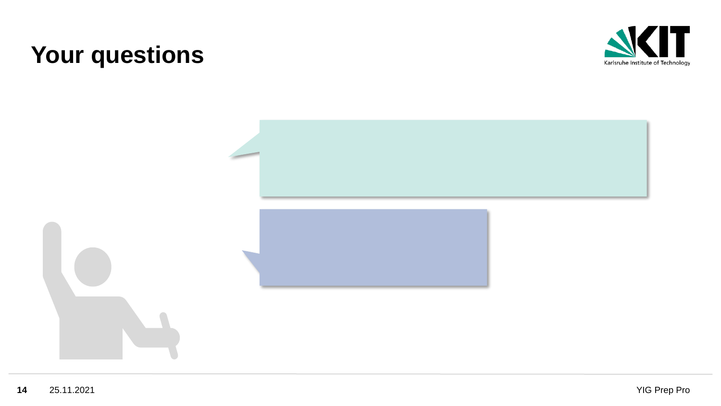### **Your questions**



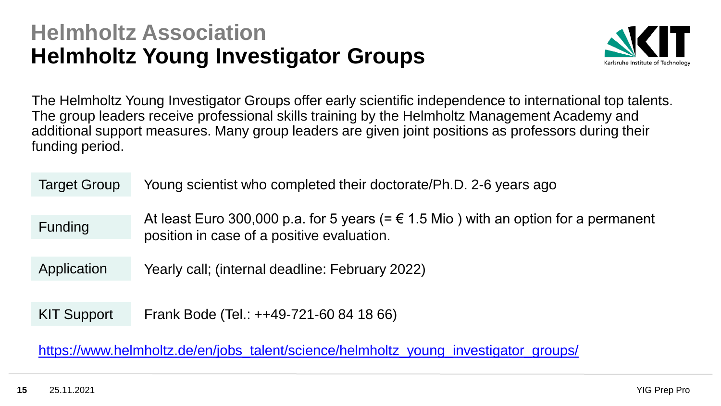#### **Helmholtz Association Helmholtz Young Investigator Groups**



The Helmholtz Young Investigator Groups offer early scientific independence to international top talents. The group leaders receive professional skills training by the Helmholtz Management Academy and additional support measures. Many group leaders are given joint positions as professors during their funding period.

| <b>Target Group</b> | Young scientist who completed their doctorate/Ph.D. 2-6 years ago                                                                          |
|---------------------|--------------------------------------------------------------------------------------------------------------------------------------------|
| <b>Funding</b>      | At least Euro 300,000 p.a. for 5 years (= $\epsilon$ 1.5 Mio) with an option for a permanent<br>position in case of a positive evaluation. |
| Application         | Yearly call; (internal deadline: February 2022)                                                                                            |
|                     |                                                                                                                                            |
| <b>KIT Support</b>  | Frank Bode (Tel.: ++49-721-60 84 18 66)                                                                                                    |
|                     |                                                                                                                                            |

[https://www.helmholtz.de/en/jobs\\_talent/science/helmholtz\\_young\\_investigator\\_groups/](https://www.helmholtz.de/en/jobs_talent/science/helmholtz_young_investigator_groups/)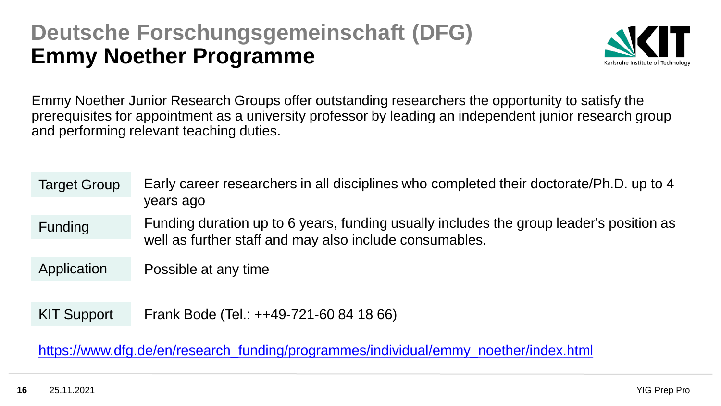#### **Deutsche Forschungsgemeinschaft (DFG) Emmy Noether Programme**



Emmy Noether Junior Research Groups offer outstanding researchers the opportunity to satisfy the prerequisites for appointment as a university professor by leading an independent junior research group and performing relevant teaching duties.

| <b>Target Group</b> | Early career researchers in all disciplines who completed their doctorate/Ph.D. up to 4<br>years ago                                               |
|---------------------|----------------------------------------------------------------------------------------------------------------------------------------------------|
| <b>Funding</b>      | Funding duration up to 6 years, funding usually includes the group leader's position as<br>well as further staff and may also include consumables. |
| Application         | Possible at any time                                                                                                                               |
| <b>KIT Support</b>  | Frank Bode (Tel.: ++49-721-60 84 18 66)                                                                                                            |

[https://www.dfg.de/en/research\\_funding/programmes/individual/emmy\\_noether/index.html](https://www.dfg.de/en/research_funding/programmes/individual/emmy_noether/index.html)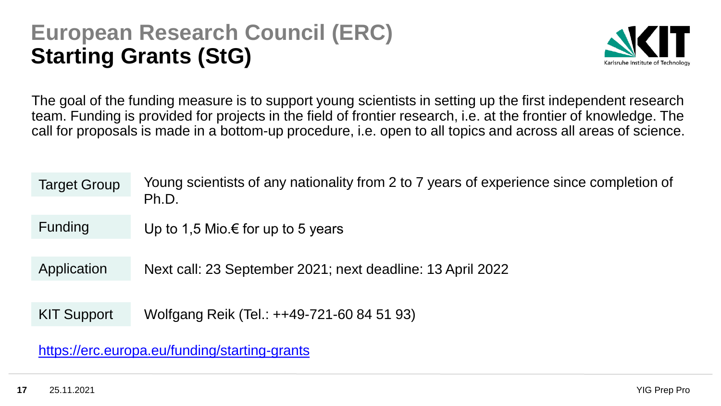#### **European Research Council (ERC) Starting Grants (StG)**



The goal of the funding measure is to support young scientists in setting up the first independent research team. Funding is provided for projects in the field of frontier research, i.e. at the frontier of knowledge. The call for proposals is made in a bottom-up procedure, i.e. open to all topics and across all areas of science.

| <b>Target Group</b> | Young scientists of any nationality from 2 to 7 years of experience since completion of<br>Ph.D. |
|---------------------|--------------------------------------------------------------------------------------------------|
| <b>Funding</b>      | Up to 1,5 Mio.€ for up to 5 years                                                                |
| Application         | Next call: 23 September 2021; next deadline: 13 April 2022                                       |
| <b>KIT Support</b>  | Wolfgang Reik (Tel.: ++49-721-60 84 51 93)                                                       |
|                     |                                                                                                  |

<https://erc.europa.eu/funding/starting-grants>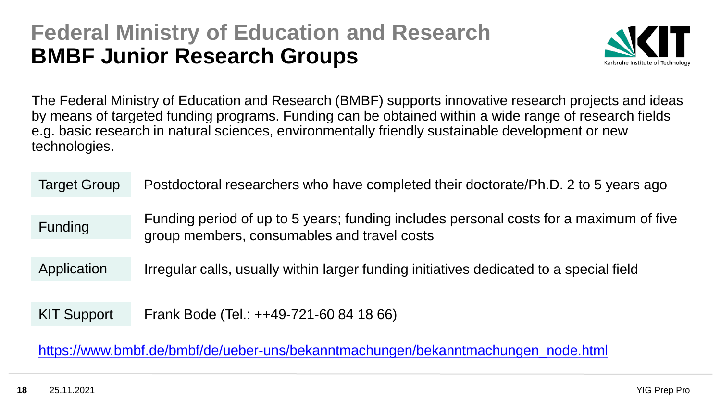#### **Federal Ministry of Education and Research BMBF Junior Research Groups**



The Federal Ministry of Education and Research (BMBF) supports innovative research projects and ideas by means of targeted funding programs. Funding can be obtained within a wide range of research fields e.g. basic research in natural sciences, environmentally friendly sustainable development or new technologies.

| <b>Target Group</b> | Postdoctoral researchers who have completed their doctorate/Ph.D. 2 to 5 years ago                                                    |
|---------------------|---------------------------------------------------------------------------------------------------------------------------------------|
| <b>Funding</b>      | Funding period of up to 5 years; funding includes personal costs for a maximum of five<br>group members, consumables and travel costs |
| Application         | Irregular calls, usually within larger funding initiatives dedicated to a special field                                               |
|                     |                                                                                                                                       |
| <b>KIT Support</b>  | Frank Bode (Tel.: ++49-721-60 84 18 66)                                                                                               |
|                     |                                                                                                                                       |

[https://www.bmbf.de/bmbf/de/ueber-uns/bekanntmachungen/bekanntmachungen\\_node.html](https://www.bmbf.de/bmbf/de/ueber-uns/bekanntmachungen/bekanntmachungen_node.html)